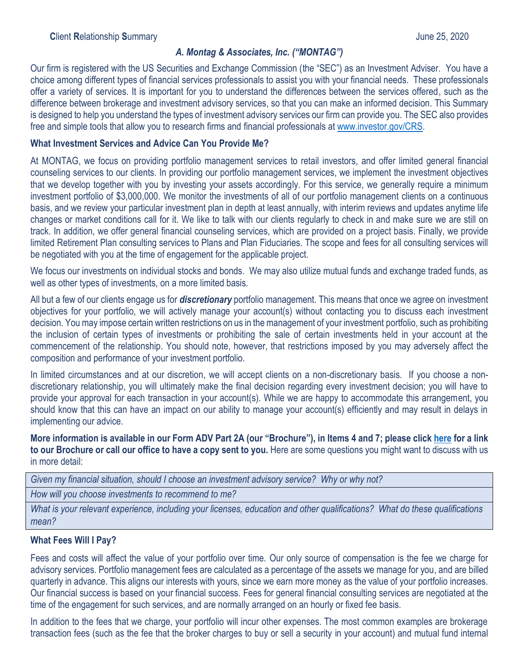### *A. Montag & Associates, Inc. ("MONTAG")*

Our firm is registered with the US Securities and Exchange Commission (the "SEC") as an Investment Adviser. You have a choice among different types of financial services professionals to assist you with your financial needs. These professionals offer a variety of services. It is important for you to understand the differences between the services offered, such as the difference between brokerage and investment advisory services, so that you can make an informed decision. This Summary is designed to help you understand the types of investment advisory services our firm can provide you. The SEC also provides free and simple tools that allow you to research firms and financial professionals at [www.investor.gov/CRS.](http://www.investor.gov/CRS)

#### **What Investment Services and Advice Can You Provide Me?**

At MONTAG, we focus on providing portfolio management services to retail investors, and offer limited general financial counseling services to our clients. In providing our portfolio management services, we implement the investment objectives that we develop together with you by investing your assets accordingly. For this service, we generally require a minimum investment portfolio of \$3,000,000. We monitor the investments of all of our portfolio management clients on a continuous basis, and we review your particular investment plan in depth at least annually, with interim reviews and updates anytime life changes or market conditions call for it. We like to talk with our clients regularly to check in and make sure we are still on track. In addition, we offer general financial counseling services, which are provided on a project basis. Finally, we provide limited Retirement Plan consulting services to Plans and Plan Fiduciaries. The scope and fees for all consulting services will be negotiated with you at the time of engagement for the applicable project.

We focus our investments on individual stocks and bonds. We may also utilize mutual funds and exchange traded funds, as well as other types of investments, on a more limited basis.

All but a few of our clients engage us for *discretionary* portfolio management. This means that once we agree on investment objectives for your portfolio, we will actively manage your account(s) without contacting you to discuss each investment decision. You may impose certain written restrictions on us in the management of your investment portfolio, such as prohibiting the inclusion of certain types of investments or prohibiting the sale of certain investments held in your account at the commencement of the relationship. You should note, however, that restrictions imposed by you may adversely affect the composition and performance of your investment portfolio.

In limited circumstances and at our discretion, we will accept clients on a non-discretionary basis. If you choose a nondiscretionary relationship, you will ultimately make the final decision regarding every investment decision; you will have to provide your approval for each transaction in your account(s). While we are happy to accommodate this arrangement, you should know that this can have an impact on our ability to manage your account(s) efficiently and may result in delays in implementing our advice.

**More information is available in our Form ADV Part 2A (our "Brochure"), in Items 4 and 7; please click [here](https://adviserinfo.sec.gov/firm/summary/105756) for a link to our Brochure or call our office to have a copy sent to you.** Here are some questions you might want to discuss with us in more detail:

*Given my financial situation, should I choose an investment advisory service? Why or why not?*

*How will you choose investments to recommend to me?*

*What is your relevant experience, including your licenses, education and other qualifications? What do these qualifications mean?*

# **What Fees Will I Pay?**

Fees and costs will affect the value of your portfolio over time. Our only source of compensation is the fee we charge for advisory services. Portfolio management fees are calculated as a percentage of the assets we manage for you, and are billed quarterly in advance. This aligns our interests with yours, since we earn more money as the value of your portfolio increases. Our financial success is based on your financial success. Fees for general financial consulting services are negotiated at the time of the engagement for such services, and are normally arranged on an hourly or fixed fee basis.

In addition to the fees that we charge, your portfolio will incur other expenses. The most common examples are brokerage transaction fees (such as the fee that the broker charges to buy or sell a security in your account) and mutual fund internal